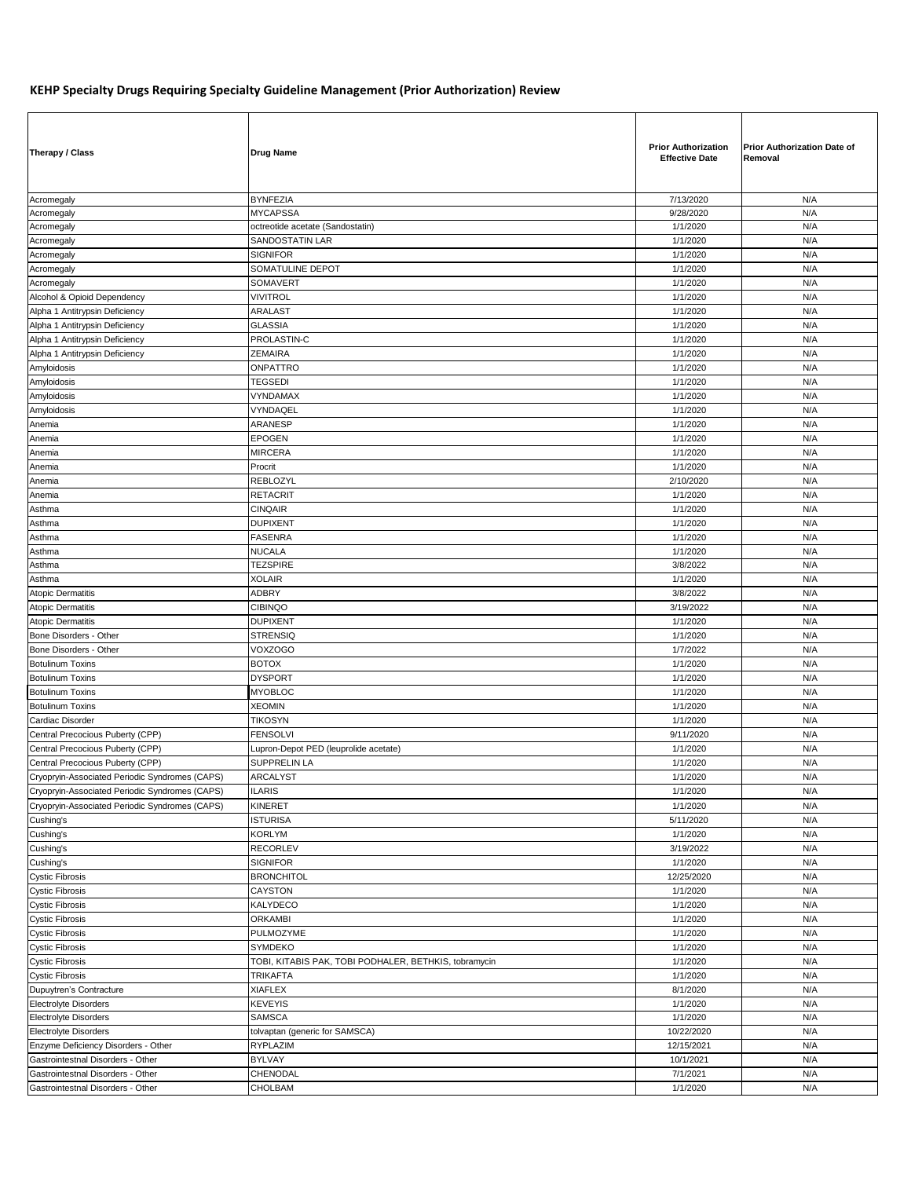## **KEHP Specialty Drugs Requiring Specialty Guideline Management (Prior Authorization) Review**

| Therapy / Class                                | <b>Drug Name</b>                                      | <b>Prior Authorization</b><br><b>Effective Date</b> | <b>Prior Authorization Date of</b><br>Removal |
|------------------------------------------------|-------------------------------------------------------|-----------------------------------------------------|-----------------------------------------------|
| Acromegaly                                     | <b>BYNFEZIA</b>                                       | 7/13/2020                                           | N/A                                           |
| Acromegaly                                     | <b>MYCAPSSA</b>                                       | 9/28/2020                                           | N/A                                           |
| Acromegaly                                     | octreotide acetate (Sandostatin)                      | 1/1/2020                                            | N/A                                           |
| Acromegaly                                     | SANDOSTATIN LAR                                       | 1/1/2020                                            | N/A                                           |
| Acromegaly                                     | <b>SIGNIFOR</b>                                       | 1/1/2020                                            | N/A                                           |
| Acromegaly                                     | SOMATULINE DEPOT                                      | 1/1/2020                                            | N/A                                           |
| Acromegaly                                     | <b>SOMAVERT</b>                                       | 1/1/2020                                            | N/A                                           |
| Alcohol & Opioid Dependency                    | VIVITROL                                              | 1/1/2020                                            | N/A                                           |
| Alpha 1 Antitrypsin Deficiency                 | <b>ARALAST</b>                                        | 1/1/2020                                            | N/A                                           |
| Alpha 1 Antitrypsin Deficiency                 | <b>GLASSIA</b>                                        | 1/1/2020                                            | N/A                                           |
| Alpha 1 Antitrypsin Deficiency                 | PROLASTIN-C                                           | 1/1/2020                                            | N/A                                           |
| Alpha 1 Antitrypsin Deficiency                 | ZEMAIRA                                               | 1/1/2020                                            | N/A                                           |
| Amyloidosis                                    | ONPATTRO                                              | 1/1/2020                                            | N/A                                           |
| Amyloidosis                                    | <b>TEGSEDI</b>                                        | 1/1/2020                                            | N/A                                           |
| Amyloidosis                                    | VYNDAMAX                                              | 1/1/2020                                            | N/A                                           |
| Amyloidosis                                    | VYNDAQEL                                              | 1/1/2020                                            | N/A                                           |
| Anemia                                         | ARANESP                                               | 1/1/2020                                            | N/A                                           |
| Anemia                                         | EPOGEN                                                | 1/1/2020                                            | N/A                                           |
| Anemia                                         | <b>MIRCERA</b>                                        | 1/1/2020                                            | N/A                                           |
| Anemia                                         | Procrit                                               | 1/1/2020                                            | N/A                                           |
| Anemia                                         | REBLOZYL                                              | 2/10/2020                                           | N/A                                           |
| Anemia                                         | <b>RETACRIT</b>                                       | 1/1/2020                                            | N/A                                           |
| Asthma                                         | <b>CINQAIR</b>                                        | 1/1/2020                                            | N/A                                           |
| Asthma                                         | <b>DUPIXENT</b>                                       | 1/1/2020                                            | N/A                                           |
| Asthma                                         | <b>FASENRA</b>                                        | 1/1/2020                                            | N/A                                           |
| Asthma                                         | <b>NUCALA</b>                                         | 1/1/2020                                            | N/A                                           |
|                                                |                                                       |                                                     |                                               |
| Asthma                                         | <b>TEZSPIRE</b>                                       | 3/8/2022                                            | N/A                                           |
| Asthma                                         | <b>XOLAIR</b>                                         | 1/1/2020                                            | N/A                                           |
| <b>Atopic Dermatitis</b>                       | <b>ADBRY</b>                                          | 3/8/2022                                            | N/A                                           |
| <b>Atopic Dermatitis</b>                       | <b>CIBINQO</b>                                        | 3/19/2022                                           | N/A                                           |
| <b>Atopic Dermatitis</b>                       | <b>DUPIXENT</b>                                       | 1/1/2020                                            | N/A                                           |
| Bone Disorders - Other                         | STRENSIQ                                              | 1/1/2020                                            | N/A                                           |
| Bone Disorders - Other                         | <b>VOXZOGO</b>                                        | 1/7/2022                                            | N/A                                           |
| <b>Botulinum Toxins</b>                        | <b>BOTOX</b>                                          | 1/1/2020                                            | N/A                                           |
| Botulinum Toxins                               | <b>DYSPORT</b>                                        | 1/1/2020                                            | N/A                                           |
| <b>Botulinum Toxins</b>                        | <b>MYOBLOC</b>                                        | 1/1/2020                                            | N/A                                           |
| <b>Botulinum Toxins</b>                        | <b>XEOMIN</b>                                         | 1/1/2020                                            | N/A                                           |
| Cardiac Disorder                               | <b>TIKOSYN</b>                                        | 1/1/2020                                            | N/A                                           |
| Central Precocious Puberty (CPP)               | <b>FENSOLVI</b>                                       | 9/11/2020                                           | N/A                                           |
| Central Precocious Puberty (CPP)               | Lupron-Depot PED (leuprolide acetate)                 | 1/1/2020                                            | N/A                                           |
| Central Precocious Puberty (CPP)               | SUPPRELIN LA                                          | 1/1/2020                                            | N/A                                           |
| Cryopryin-Associated Periodic Syndromes (CAPS) | <b>ARCALYST</b>                                       | 1/1/2020                                            | N/A                                           |
| Cryopryin-Associated Periodic Syndromes (CAPS) | <b>ILARIS</b>                                         | 1/1/2020                                            | N/A                                           |
| Cryopryin-Associated Periodic Syndromes (CAPS) | KINERET                                               | 1/1/2020                                            | N/A                                           |
| Cushing's                                      | <b>ISTURISA</b>                                       | 5/11/2020                                           | N/A                                           |
| Cushing's                                      | <b>KORLYM</b>                                         | 1/1/2020                                            | N/A                                           |
| Cushing's                                      | <b>RECORLEV</b>                                       | 3/19/2022                                           | N/A                                           |
| Cushing's                                      | <b>SIGNIFOR</b>                                       | 1/1/2020                                            | N/A                                           |
| <b>Cystic Fibrosis</b>                         | <b>BRONCHITOL</b>                                     | 12/25/2020                                          | N/A                                           |
| <b>Cystic Fibrosis</b>                         | CAYSTON                                               | 1/1/2020                                            | N/A                                           |
| <b>Cystic Fibrosis</b>                         | KALYDECO                                              | 1/1/2020                                            | N/A                                           |
| <b>Cystic Fibrosis</b>                         | <b>ORKAMBI</b>                                        | 1/1/2020                                            | N/A                                           |
| <b>Cystic Fibrosis</b>                         | PULMOZYME                                             | 1/1/2020                                            | N/A                                           |
| <b>Cystic Fibrosis</b>                         | SYMDEKO                                               | 1/1/2020                                            | N/A                                           |
| <b>Cystic Fibrosis</b>                         | TOBI, KITABIS PAK, TOBI PODHALER, BETHKIS, tobramycin | 1/1/2020                                            | N/A                                           |
| <b>Cystic Fibrosis</b>                         | TRIKAFTA                                              | 1/1/2020                                            | N/A                                           |
|                                                | <b>XIAFLEX</b>                                        | 8/1/2020                                            | N/A                                           |
| Dupuytren's Contracture                        |                                                       |                                                     |                                               |
| <b>Electrolyte Disorders</b>                   | <b>KEVEYIS</b>                                        | 1/1/2020                                            | N/A                                           |
| <b>Electrolyte Disorders</b>                   | <b>SAMSCA</b>                                         | 1/1/2020                                            | N/A                                           |
| Electrolyte Disorders                          | tolvaptan (generic for SAMSCA)                        | 10/22/2020                                          | N/A                                           |
| Enzyme Deficiency Disorders - Other            | RYPLAZIM                                              | 12/15/2021                                          | N/A                                           |
| Gastrointestnal Disorders - Other              | <b>BYLVAY</b>                                         | 10/1/2021                                           | N/A                                           |
| Gastrointestnal Disorders - Other              | CHENODAL                                              | 7/1/2021                                            | N/A                                           |
| Gastrointestnal Disorders - Other              | CHOLBAM                                               | 1/1/2020                                            | N/A                                           |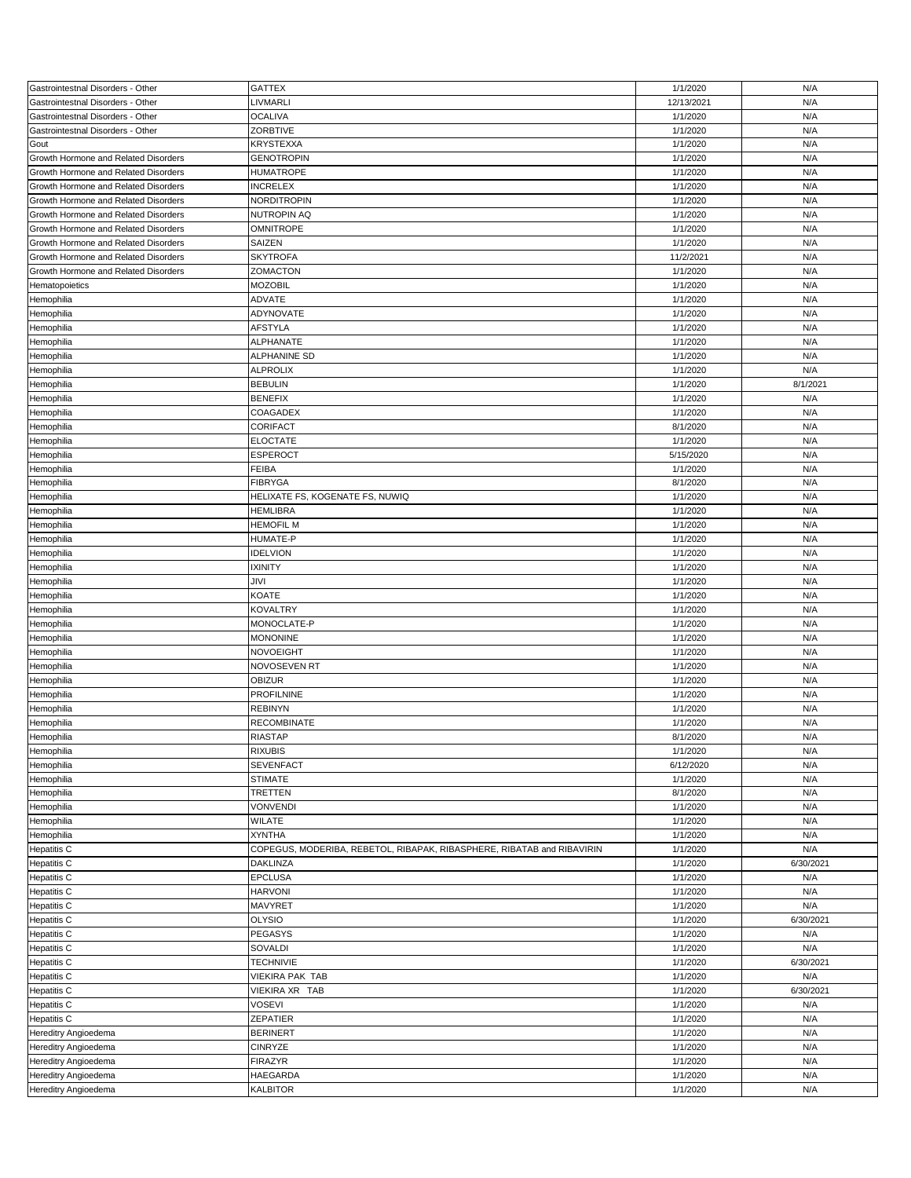| Gastrointestnal Disorders - Other    | <b>GATTEX</b>                                                          | 1/1/2020   | N/A       |
|--------------------------------------|------------------------------------------------------------------------|------------|-----------|
| Gastrointestnal Disorders - Other    | LIVMARLI                                                               | 12/13/2021 | N/A       |
| Gastrointestnal Disorders - Other    | <b>OCALIVA</b>                                                         | 1/1/2020   | N/A       |
| Gastrointestnal Disorders - Other    | <b>ZORBTIVE</b>                                                        | 1/1/2020   | N/A       |
| Gout                                 | <b>KRYSTEXXA</b>                                                       | 1/1/2020   | N/A       |
| Growth Hormone and Related Disorders | <b>GENOTROPIN</b>                                                      | 1/1/2020   | N/A       |
|                                      |                                                                        |            |           |
| Growth Hormone and Related Disorders | <b>HUMATROPE</b>                                                       | 1/1/2020   | N/A       |
| Growth Hormone and Related Disorders | <b>INCRELEX</b>                                                        | 1/1/2020   | N/A       |
| Growth Hormone and Related Disorders | <b>NORDITROPIN</b>                                                     | 1/1/2020   | N/A       |
| Growth Hormone and Related Disorders | NUTROPIN AQ                                                            | 1/1/2020   | N/A       |
| Growth Hormone and Related Disorders | OMNITROPE                                                              | 1/1/2020   | N/A       |
| Growth Hormone and Related Disorders | SAIZEN                                                                 | 1/1/2020   | N/A       |
|                                      |                                                                        |            |           |
| Growth Hormone and Related Disorders | <b>SKYTROFA</b>                                                        | 11/2/2021  | N/A       |
| Growth Hormone and Related Disorders | ZOMACTON                                                               | 1/1/2020   | N/A       |
| Hematopoietics                       | <b>MOZOBIL</b>                                                         | 1/1/2020   | N/A       |
| Hemophilia                           | <b>ADVATE</b>                                                          | 1/1/2020   | N/A       |
| Hemophilia                           | ADYNOVATE                                                              | 1/1/2020   | N/A       |
| Hemophilia                           | <b>AFSTYLA</b>                                                         | 1/1/2020   | N/A       |
|                                      |                                                                        |            |           |
| Hemophilia                           | <b>ALPHANATE</b>                                                       | 1/1/2020   | N/A       |
| Hemophilia                           | ALPHANINE SD                                                           | 1/1/2020   | N/A       |
| Hemophilia                           | <b>ALPROLIX</b>                                                        | 1/1/2020   | N/A       |
| Hemophilia                           | <b>BEBULIN</b>                                                         | 1/1/2020   | 8/1/2021  |
| Hemophilia                           | <b>BENEFIX</b>                                                         | 1/1/2020   | N/A       |
|                                      | COAGADEX                                                               | 1/1/2020   | N/A       |
| Hemophilia                           |                                                                        |            |           |
| Hemophilia                           | CORIFACT                                                               | 8/1/2020   | N/A       |
| Hemophilia                           | <b>ELOCTATE</b>                                                        | 1/1/2020   | N/A       |
| Hemophilia                           | <b>ESPEROCT</b>                                                        | 5/15/2020  | N/A       |
| Hemophilia                           | <b>FEIBA</b>                                                           | 1/1/2020   | N/A       |
| Hemophilia                           | <b>FIBRYGA</b>                                                         | 8/1/2020   | N/A       |
|                                      |                                                                        |            |           |
| Hemophilia                           | HELIXATE FS, KOGENATE FS, NUWIQ                                        | 1/1/2020   | N/A       |
| Hemophilia                           | <b>HEMLIBRA</b>                                                        | 1/1/2020   | N/A       |
| Hemophilia                           | <b>HEMOFIL M</b>                                                       | 1/1/2020   | N/A       |
| Hemophilia                           | HUMATE-P                                                               | 1/1/2020   | N/A       |
| Hemophilia                           | <b>IDELVION</b>                                                        | 1/1/2020   | N/A       |
| Hemophilia                           | <b>IXINITY</b>                                                         | 1/1/2020   | N/A       |
|                                      |                                                                        |            |           |
| Hemophilia                           | JIVI                                                                   | 1/1/2020   | N/A       |
| Hemophilia                           | <b>KOATE</b>                                                           | 1/1/2020   | N/A       |
| Hemophilia                           | <b>KOVALTRY</b>                                                        | 1/1/2020   | N/A       |
| Hemophilia                           | MONOCLATE-P                                                            | 1/1/2020   | N/A       |
| Hemophilia                           | <b>MONONINE</b>                                                        | 1/1/2020   | N/A       |
|                                      |                                                                        |            |           |
| Hemophilia                           | NOVOEIGHT                                                              | 1/1/2020   | N/A       |
| Hemophilia                           | NOVOSEVEN RT                                                           | 1/1/2020   | N/A       |
| Hemophilia                           | <b>OBIZUR</b>                                                          | 1/1/2020   | N/A       |
| Hemophilia                           | <b>PROFILNINE</b>                                                      | 1/1/2020   | N/A       |
| Hemophilia                           | <b>REBINYN</b>                                                         | 1/1/2020   | N/A       |
| Hemophilia                           | <b>RECOMBINATE</b>                                                     | 1/1/2020   | N/A       |
|                                      | <b>RIASTAP</b>                                                         | 8/1/2020   |           |
| Hemophilia                           |                                                                        |            | N/A       |
| Hemophilia                           | <b>RIXUBIS</b>                                                         | 1/1/2020   | N/A       |
| Hemophilia                           | <b>SEVENFACT</b>                                                       | 6/12/2020  | N/A       |
| Hemophilia                           | <b>STIMATE</b>                                                         | 1/1/2020   | N/A       |
| Hemophilia                           | TRETTEN                                                                | 8/1/2020   | N/A       |
| Hemophilia                           | <b>VONVENDI</b>                                                        | 1/1/2020   | N/A       |
|                                      |                                                                        |            |           |
| Hemophilia                           | WILATE                                                                 | 1/1/2020   | N/A       |
| Hemophilia                           | <b>XYNTHA</b>                                                          | 1/1/2020   | N/A       |
| Hepatitis C                          | COPEGUS, MODERIBA, REBETOL, RIBAPAK, RIBASPHERE, RIBATAB and RIBAVIRIN | 1/1/2020   | N/A       |
| Hepatitis C                          | <b>DAKLINZA</b>                                                        | 1/1/2020   | 6/30/2021 |
| Hepatitis C                          | <b>EPCLUSA</b>                                                         | 1/1/2020   | N/A       |
| Hepatitis C                          | <b>HARVONI</b>                                                         | 1/1/2020   | N/A       |
|                                      |                                                                        |            |           |
| Hepatitis C                          | MAVYRET                                                                | 1/1/2020   | N/A       |
| Hepatitis C                          | <b>OLYSIO</b>                                                          | 1/1/2020   | 6/30/2021 |
| Hepatitis C                          | <b>PEGASYS</b>                                                         | 1/1/2020   | N/A       |
| Hepatitis C                          | SOVALDI                                                                | 1/1/2020   | N/A       |
| Hepatitis C                          | <b>TECHNIVIE</b>                                                       | 1/1/2020   | 6/30/2021 |
| Hepatitis C                          |                                                                        |            | N/A       |
|                                      | VIEKIRA PAK TAB                                                        | 1/1/2020   |           |
| Hepatitis C                          | VIEKIRA XR TAB                                                         | 1/1/2020   | 6/30/2021 |
| Hepatitis C                          | <b>VOSEVI</b>                                                          | 1/1/2020   | N/A       |
| Hepatitis C                          | ZEPATIER                                                               | 1/1/2020   | N/A       |
| <b>Hereditry Angioedema</b>          | <b>BERINERT</b>                                                        | 1/1/2020   | N/A       |
| Hereditry Angioedema                 | CINRYZE                                                                | 1/1/2020   | N/A       |
|                                      |                                                                        |            |           |
| Hereditry Angioedema                 | <b>FIRAZYR</b>                                                         | 1/1/2020   | N/A       |
| Hereditry Angioedema                 | <b>HAEGARDA</b>                                                        | 1/1/2020   | N/A       |
| Hereditry Angioedema                 | KALBITOR                                                               | 1/1/2020   | N/A       |
|                                      |                                                                        |            |           |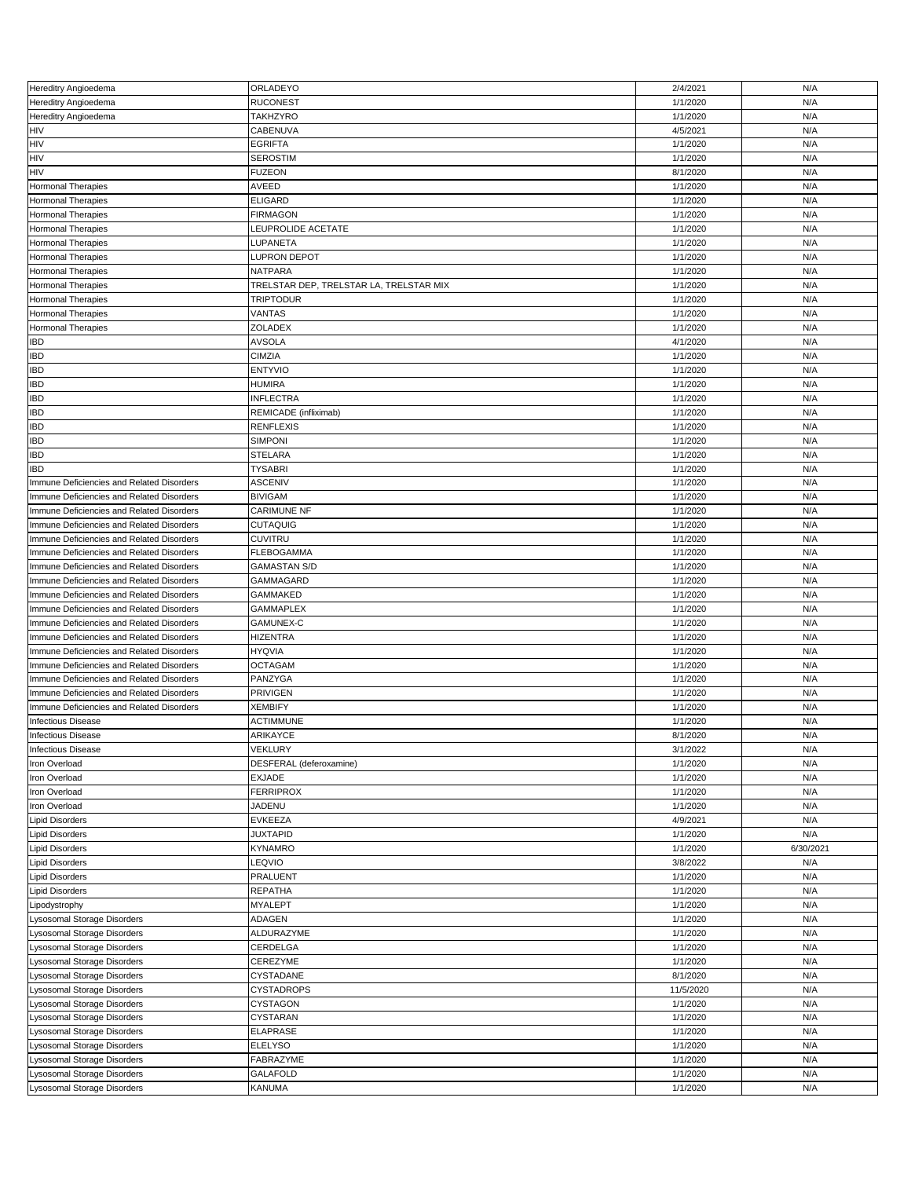| Hereditry Angioedema                      | ORLADEYO                                | 2/4/2021  | N/A       |
|-------------------------------------------|-----------------------------------------|-----------|-----------|
| Hereditry Angioedema                      | <b>RUCONEST</b>                         | 1/1/2020  | N/A       |
| Hereditry Angioedema                      | <b>TAKHZYRO</b>                         | 1/1/2020  | N/A       |
| HIV                                       | CABENUVA                                | 4/5/2021  | N/A       |
| HIV                                       | <b>EGRIFTA</b>                          | 1/1/2020  | N/A       |
| <b>HIV</b>                                | <b>SEROSTIM</b>                         | 1/1/2020  | N/A       |
| HIV                                       | <b>FUZEON</b>                           | 8/1/2020  | N/A       |
| <b>Hormonal Therapies</b>                 | AVEED                                   | 1/1/2020  | N/A       |
| <b>Hormonal Therapies</b>                 | <b>ELIGARD</b>                          | 1/1/2020  | N/A       |
|                                           |                                         | 1/1/2020  |           |
| Hormonal Therapies                        | <b>FIRMAGON</b>                         |           | N/A       |
| Hormonal Therapies                        | LEUPROLIDE ACETATE                      | 1/1/2020  | N/A       |
| Hormonal Therapies                        | LUPANETA                                | 1/1/2020  | N/A       |
| <b>Hormonal Therapies</b>                 | <b>LUPRON DEPOT</b>                     | 1/1/2020  | N/A       |
| Hormonal Therapies                        | <b>NATPARA</b>                          | 1/1/2020  | N/A       |
| Hormonal Therapies                        | TRELSTAR DEP, TRELSTAR LA, TRELSTAR MIX | 1/1/2020  | N/A       |
| Hormonal Therapies                        | <b>TRIPTODUR</b>                        | 1/1/2020  | N/A       |
| <b>Hormonal Therapies</b>                 | VANTAS                                  | 1/1/2020  | N/A       |
| Hormonal Therapies                        | ZOLADEX                                 | 1/1/2020  | N/A       |
| <b>IBD</b>                                | <b>AVSOLA</b>                           | 4/1/2020  | N/A       |
|                                           |                                         |           | N/A       |
| <b>IBD</b>                                | <b>CIMZIA</b>                           | 1/1/2020  |           |
| <b>IBD</b>                                | <b>ENTYVIO</b>                          | 1/1/2020  | N/A       |
| <b>IBD</b>                                | <b>HUMIRA</b>                           | 1/1/2020  | N/A       |
| <b>IBD</b>                                | <b>INFLECTRA</b>                        | 1/1/2020  | N/A       |
| <b>IBD</b>                                | REMICADE (infliximab)                   | 1/1/2020  | N/A       |
| <b>IBD</b>                                | <b>RENFLEXIS</b>                        | 1/1/2020  | N/A       |
| <b>IBD</b>                                | <b>SIMPONI</b>                          | 1/1/2020  | N/A       |
| <b>IBD</b>                                | <b>STELARA</b>                          | 1/1/2020  | N/A       |
| <b>IBD</b>                                | <b>TYSABRI</b>                          | 1/1/2020  | N/A       |
|                                           |                                         |           |           |
| Immune Deficiencies and Related Disorders | <b>ASCENIV</b>                          | 1/1/2020  | N/A       |
| Immune Deficiencies and Related Disorders | <b>BIVIGAM</b>                          | 1/1/2020  | N/A       |
| Immune Deficiencies and Related Disorders | <b>CARIMUNE NF</b>                      | 1/1/2020  | N/A       |
| Immune Deficiencies and Related Disorders | <b>CUTAQUIG</b>                         | 1/1/2020  | N/A       |
| Immune Deficiencies and Related Disorders | <b>CUVITRU</b>                          | 1/1/2020  | N/A       |
| Immune Deficiencies and Related Disorders | <b>FLEBOGAMMA</b>                       | 1/1/2020  | N/A       |
| Immune Deficiencies and Related Disorders | <b>GAMASTAN S/D</b>                     | 1/1/2020  | N/A       |
| Immune Deficiencies and Related Disorders | <b>GAMMAGARD</b>                        | 1/1/2020  | N/A       |
|                                           | <b>GAMMAKED</b>                         | 1/1/2020  | N/A       |
| Immune Deficiencies and Related Disorders |                                         |           |           |
| Immune Deficiencies and Related Disorders | <b>GAMMAPLEX</b>                        | 1/1/2020  | N/A       |
| Immune Deficiencies and Related Disorders | GAMUNEX-C                               | 1/1/2020  | N/A       |
| Immune Deficiencies and Related Disorders | <b>HIZENTRA</b>                         | 1/1/2020  | N/A       |
| Immune Deficiencies and Related Disorders | <b>HYQVIA</b>                           | 1/1/2020  | N/A       |
| Immune Deficiencies and Related Disorders | <b>OCTAGAM</b>                          | 1/1/2020  | N/A       |
| Immune Deficiencies and Related Disorders | PANZYGA                                 | 1/1/2020  | N/A       |
| Immune Deficiencies and Related Disorders | <b>PRIVIGEN</b>                         | 1/1/2020  | N/A       |
| Immune Deficiencies and Related Disorders | <b>XEMBIFY</b>                          | 1/1/2020  | N/A       |
| <b>Infectious Disease</b>                 | <b>ACTIMMUNE</b>                        | 1/1/2020  | N/A       |
|                                           |                                         |           |           |
| <b>Infectious Disease</b>                 | ARIKAYCE                                | 8/1/2020  | N/A       |
| <b>Infectious Disease</b>                 | <b>VEKLURY</b>                          | 3/1/2022  | N/A       |
| Iron Overload                             | DESFERAL (deferoxamine)                 | 1/1/2020  | N/A       |
| Iron Overload                             | <b>EXJADE</b>                           | 1/1/2020  | N/A       |
| Iron Overload                             | <b>FERRIPROX</b>                        | 1/1/2020  | N/A       |
| Iron Overload                             | JADENU                                  | 1/1/2020  | N/A       |
| <b>Lipid Disorders</b>                    | <b>EVKEEZA</b>                          | 4/9/2021  | N/A       |
| <b>Lipid Disorders</b>                    | <b>JUXTAPID</b>                         | 1/1/2020  | N/A       |
| <b>Lipid Disorders</b>                    | <b>KYNAMRO</b>                          | 1/1/2020  | 6/30/2021 |
|                                           |                                         |           |           |
| <b>Lipid Disorders</b>                    | LEQVIO                                  | 3/8/2022  | N/A       |
| <b>Lipid Disorders</b>                    | PRALUENT                                | 1/1/2020  | N/A       |
| <b>Lipid Disorders</b>                    | <b>REPATHA</b>                          | 1/1/2020  | N/A       |
| Lipodystrophy                             | <b>MYALEPT</b>                          | 1/1/2020  | N/A       |
| Lysosomal Storage Disorders               | ADAGEN                                  | 1/1/2020  | N/A       |
| Lysosomal Storage Disorders               | ALDURAZYME                              | 1/1/2020  | N/A       |
| Lysosomal Storage Disorders               | CERDELGA                                | 1/1/2020  | N/A       |
| Lysosomal Storage Disorders               | CEREZYME                                | 1/1/2020  | N/A       |
|                                           |                                         |           |           |
| Lysosomal Storage Disorders               | CYSTADANE                               | 8/1/2020  | N/A       |
| Lysosomal Storage Disorders               | <b>CYSTADROPS</b>                       | 11/5/2020 | N/A       |
| Lysosomal Storage Disorders               | CYSTAGON                                | 1/1/2020  | N/A       |
| Lysosomal Storage Disorders               | CYSTARAN                                | 1/1/2020  | N/A       |
| Lysosomal Storage Disorders               | <b>ELAPRASE</b>                         | 1/1/2020  | N/A       |
| Lysosomal Storage Disorders               | <b>ELELYSO</b>                          | 1/1/2020  | N/A       |
| Lysosomal Storage Disorders               | FABRAZYME                               | 1/1/2020  | N/A       |
| Lysosomal Storage Disorders               | <b>GALAFOLD</b>                         | 1/1/2020  | N/A       |
|                                           |                                         |           |           |
| Lysosomal Storage Disorders               | KANUMA                                  | 1/1/2020  | N/A       |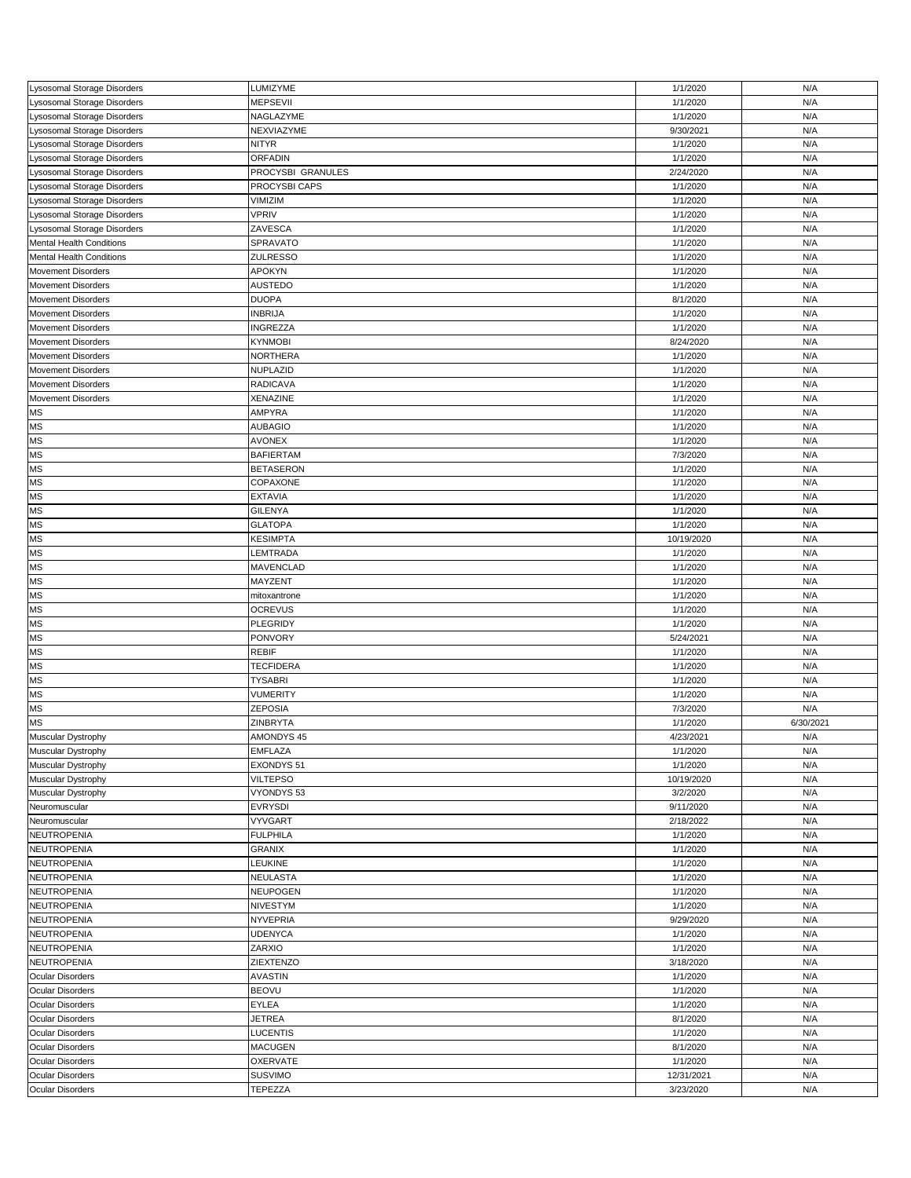| Lysosomal Storage Disorders | LUMIZYME          | 1/1/2020   | N/A       |
|-----------------------------|-------------------|------------|-----------|
| Lysosomal Storage Disorders | <b>MEPSEVII</b>   | 1/1/2020   | N/A       |
| Lysosomal Storage Disorders | NAGLAZYME         | 1/1/2020   | N/A       |
| Lysosomal Storage Disorders | NEXVIAZYME        | 9/30/2021  | N/A       |
| Lysosomal Storage Disorders | <b>NITYR</b>      | 1/1/2020   | N/A       |
|                             |                   |            |           |
| ysosomal Storage Disorders  | <b>ORFADIN</b>    | 1/1/2020   | N/A       |
| Lysosomal Storage Disorders | PROCYSBI GRANULES | 2/24/2020  | N/A       |
| ysosomal Storage Disorders  | PROCYSBI CAPS     | 1/1/2020   | N/A       |
| Lysosomal Storage Disorders | VIMIZIM           | 1/1/2020   | N/A       |
| Lysosomal Storage Disorders | <b>VPRIV</b>      | 1/1/2020   | N/A       |
| ysosomal Storage Disorders  | ZAVESCA           | 1/1/2020   | N/A       |
|                             |                   |            |           |
| Mental Health Conditions    | SPRAVATO          | 1/1/2020   | N/A       |
| Mental Health Conditions    | <b>ZULRESSO</b>   | 1/1/2020   | N/A       |
| Movement Disorders          | APOKYN            | 1/1/2020   | N/A       |
| <b>Movement Disorders</b>   | <b>AUSTEDO</b>    | 1/1/2020   | N/A       |
| <b>Movement Disorders</b>   | <b>DUOPA</b>      | 8/1/2020   | N/A       |
|                             |                   |            |           |
| <b>Movement Disorders</b>   | <b>INBRIJA</b>    | 1/1/2020   | N/A       |
| <b>Movement Disorders</b>   | <b>INGREZZA</b>   | 1/1/2020   | N/A       |
| Movement Disorders          | <b>KYNMOBI</b>    | 8/24/2020  | N/A       |
| <b>Movement Disorders</b>   | <b>NORTHERA</b>   | 1/1/2020   | N/A       |
| <b>Movement Disorders</b>   | NUPLAZID          | 1/1/2020   | N/A       |
| <b>Movement Disorders</b>   | <b>RADICAVA</b>   | 1/1/2020   | N/A       |
|                             |                   |            |           |
| <b>Movement Disorders</b>   | XENAZINE          | 1/1/2020   | N/A       |
| <b>MS</b>                   | AMPYRA            | 1/1/2020   | N/A       |
| MS                          | <b>AUBAGIO</b>    | 1/1/2020   | N/A       |
| <b>MS</b>                   | <b>AVONEX</b>     | 1/1/2020   | N/A       |
| <b>MS</b>                   | <b>BAFIERTAM</b>  | 7/3/2020   | N/A       |
| <b>MS</b>                   | <b>BETASERON</b>  | 1/1/2020   | N/A       |
|                             |                   |            |           |
| <b>MS</b>                   | COPAXONE          | 1/1/2020   | N/A       |
| <b>MS</b>                   | <b>EXTAVIA</b>    | 1/1/2020   | N/A       |
| <b>MS</b>                   | <b>GILENYA</b>    | 1/1/2020   | N/A       |
| <b>MS</b>                   | <b>GLATOPA</b>    | 1/1/2020   | N/A       |
| <b>MS</b>                   | <b>KESIMPTA</b>   | 10/19/2020 | N/A       |
|                             |                   |            |           |
| <b>MS</b>                   | LEMTRADA          | 1/1/2020   | N/A       |
| <b>MS</b>                   | MAVENCLAD         | 1/1/2020   | N/A       |
| <b>MS</b>                   | MAYZENT           | 1/1/2020   | N/A       |
|                             |                   |            |           |
| MS                          | mitoxantrone      | 1/1/2020   | N/A       |
|                             |                   |            |           |
| <b>MS</b>                   | <b>OCREVUS</b>    | 1/1/2020   | N/A       |
| <b>MS</b>                   | PLEGRIDY          | 1/1/2020   | N/A       |
| <b>MS</b>                   | <b>PONVORY</b>    | 5/24/2021  | N/A       |
| <b>MS</b>                   | <b>REBIF</b>      | 1/1/2020   | N/A       |
| <b>MS</b>                   | <b>TECFIDERA</b>  | 1/1/2020   | N/A       |
| <b>MS</b>                   | <b>TYSABRI</b>    | 1/1/2020   | N/A       |
|                             |                   |            |           |
| MS                          | <b>VUMERITY</b>   | 1/1/2020   | N/A       |
| <b>MS</b>                   | <b>ZEPOSIA</b>    | 7/3/2020   | N/A       |
| <b>MS</b>                   | ZINBRYTA          | 1/1/2020   | 6/30/2021 |
| Muscular Dystrophy          | AMONDYS 45        | 4/23/2021  | N/A       |
| Muscular Dystrophy          | <b>EMFLAZA</b>    | 1/1/2020   | N/A       |
|                             | EXONDYS 51        |            | N/A       |
| Muscular Dystrophy          |                   | 1/1/2020   |           |
| Muscular Dystrophy          | <b>VILTEPSO</b>   | 10/19/2020 | N/A       |
| Muscular Dystrophy          | VYONDYS 53        | 3/2/2020   | N/A       |
| Neuromuscular               | <b>EVRYSDI</b>    | 9/11/2020  | N/A       |
| Neuromuscular               | <b>VYVGART</b>    | 2/18/2022  | N/A       |
| NEUTROPENIA                 | <b>FULPHILA</b>   | 1/1/2020   | N/A       |
|                             |                   |            |           |
| NEUTROPENIA                 | <b>GRANIX</b>     | 1/1/2020   | N/A       |
| NEUTROPENIA                 | LEUKINE           | 1/1/2020   | N/A       |
| NEUTROPENIA                 | NEULASTA          | 1/1/2020   | N/A       |
| NEUTROPENIA                 | <b>NEUPOGEN</b>   | 1/1/2020   | N/A       |
| NEUTROPENIA                 | NIVESTYM          | 1/1/2020   | N/A       |
| NEUTROPENIA                 | <b>NYVEPRIA</b>   | 9/29/2020  | N/A       |
|                             |                   |            |           |
| NEUTROPENIA                 | <b>UDENYCA</b>    | 1/1/2020   | N/A       |
| NEUTROPENIA                 | ZARXIO            | 1/1/2020   | N/A       |
| NEUTROPENIA                 | ZIEXTENZO         | 3/18/2020  | N/A       |
| Ocular Disorders            | AVASTIN           | 1/1/2020   | N/A       |
| <b>Ocular Disorders</b>     | <b>BEOVU</b>      | 1/1/2020   | N/A       |
| <b>Ocular Disorders</b>     | EYLEA             | 1/1/2020   | N/A       |
|                             |                   |            |           |
| <b>Ocular Disorders</b>     | <b>JETREA</b>     | 8/1/2020   | N/A       |
| <b>Ocular Disorders</b>     | <b>LUCENTIS</b>   | 1/1/2020   | N/A       |
| Ocular Disorders            | <b>MACUGEN</b>    | 8/1/2020   | N/A       |
| <b>Ocular Disorders</b>     | OXERVATE          | 1/1/2020   | N/A       |
| Ocular Disorders            | <b>SUSVIMO</b>    | 12/31/2021 | N/A       |
| <b>Ocular Disorders</b>     | TEPEZZA           | 3/23/2020  | N/A       |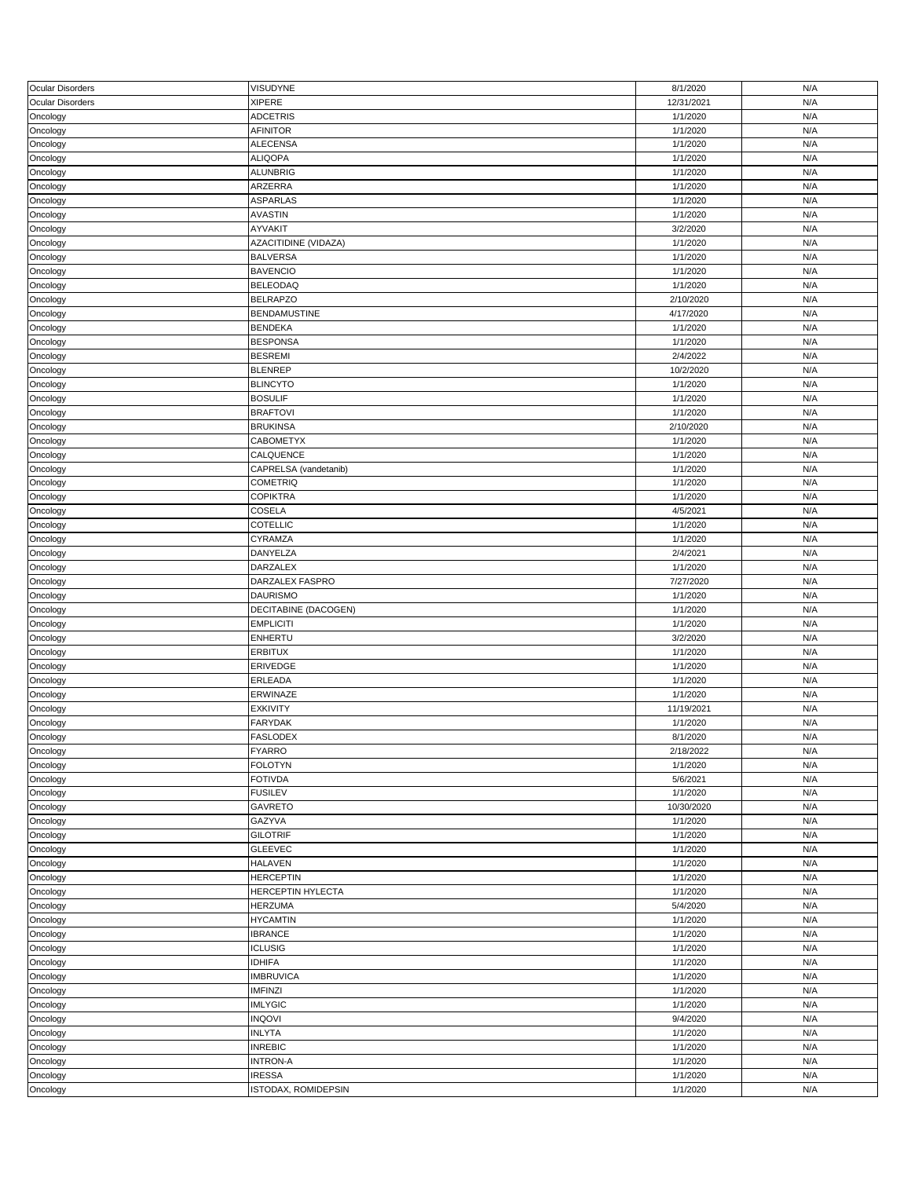| <b>Ocular Disorders</b> | VISUDYNE                 | 8/1/2020   | N/A |
|-------------------------|--------------------------|------------|-----|
| Ocular Disorders        | <b>XIPERE</b>            | 12/31/2021 | N/A |
| Oncology                | <b>ADCETRIS</b>          | 1/1/2020   | N/A |
| Oncology                | AFINITOR                 | 1/1/2020   | N/A |
| Oncology                | <b>ALECENSA</b>          | 1/1/2020   | N/A |
|                         | <b>ALIQOPA</b>           | 1/1/2020   | N/A |
| Oncology                |                          |            |     |
| Oncology                | <b>ALUNBRIG</b>          | 1/1/2020   | N/A |
| Oncology                | ARZERRA                  | 1/1/2020   | N/A |
| Oncology                | <b>ASPARLAS</b>          | 1/1/2020   | N/A |
| Oncology                | <b>AVASTIN</b>           | 1/1/2020   | N/A |
| Oncology                | AYVAKIT                  | 3/2/2020   | N/A |
|                         |                          |            |     |
| Oncology                | AZACITIDINE (VIDAZA)     | 1/1/2020   | N/A |
| Oncology                | <b>BALVERSA</b>          | 1/1/2020   | N/A |
| Oncology                | <b>BAVENCIO</b>          | 1/1/2020   | N/A |
| Oncology                | <b>BELEODAQ</b>          | 1/1/2020   | N/A |
| Oncology                | <b>BELRAPZO</b>          | 2/10/2020  | N/A |
| Oncology                | <b>BENDAMUSTINE</b>      | 4/17/2020  | N/A |
|                         | <b>BENDEKA</b>           | 1/1/2020   | N/A |
| Oncology                |                          |            |     |
| Oncology                | <b>BESPONSA</b>          | 1/1/2020   | N/A |
| Oncology                | <b>BESREMI</b>           | 2/4/2022   | N/A |
| Oncology                | <b>BLENREP</b>           | 10/2/2020  | N/A |
| Oncology                | <b>BLINCYTO</b>          | 1/1/2020   | N/A |
| Oncology                | <b>BOSULIF</b>           | 1/1/2020   | N/A |
|                         |                          |            | N/A |
| Oncology                | <b>BRAFTOVI</b>          | 1/1/2020   |     |
| Oncology                | <b>BRUKINSA</b>          | 2/10/2020  | N/A |
| Oncology                | <b>CABOMETYX</b>         | 1/1/2020   | N/A |
| Oncology                | CALQUENCE                | 1/1/2020   | N/A |
| Oncology                | CAPRELSA (vandetanib)    | 1/1/2020   | N/A |
| Oncology                | <b>COMETRIQ</b>          | 1/1/2020   | N/A |
|                         |                          |            |     |
| Oncology                | <b>COPIKTRA</b>          | 1/1/2020   | N/A |
| Oncology                | COSELA                   | 4/5/2021   | N/A |
| Oncology                | COTELLIC                 | 1/1/2020   | N/A |
| Oncology                | CYRAMZA                  | 1/1/2020   | N/A |
| Oncology                | DANYELZA                 | 2/4/2021   | N/A |
|                         |                          | 1/1/2020   | N/A |
| Oncology                | DARZALEX                 |            |     |
| Oncology                | DARZALEX FASPRO          | 7/27/2020  | N/A |
| Oncology                | <b>DAURISMO</b>          | 1/1/2020   | N/A |
| Oncology                | DECITABINE (DACOGEN)     | 1/1/2020   | N/A |
| Oncology                | <b>EMPLICITI</b>         | 1/1/2020   | N/A |
|                         | ENHERTU                  | 3/2/2020   | N/A |
| Oncology                |                          |            |     |
| Oncology                | <b>ERBITUX</b>           | 1/1/2020   | N/A |
| Oncology                | ERIVEDGE                 | 1/1/2020   | N/A |
| Oncology                | ERLEADA                  | 1/1/2020   | N/A |
| Oncology                | ERWINAZE                 | 1/1/2020   | N/A |
| Oncology                | <b>EXKIVITY</b>          | 11/19/2021 | N/A |
|                         | FARYDAK                  | 1/1/2020   | N/A |
| Oncology                |                          |            |     |
| Oncology                | <b>FASLODEX</b>          | 8/1/2020   | N/A |
| Oncology                | <b>FYARRO</b>            | 2/18/2022  | N/A |
| Oncology                | <b>FOLOTYN</b>           | 1/1/2020   | N/A |
| Oncology                | <b>FOTIVDA</b>           | 5/6/2021   | N/A |
| Oncology                | <b>FUSILEV</b>           | 1/1/2020   | N/A |
| Oncology                | <b>GAVRETO</b>           | 10/30/2020 | N/A |
|                         |                          |            |     |
| Oncology                | GAZYVA                   | 1/1/2020   | N/A |
| Oncology                | <b>GILOTRIF</b>          | 1/1/2020   | N/A |
| Oncology                | <b>GLEEVEC</b>           | 1/1/2020   | N/A |
| Oncology                | <b>HALAVEN</b>           | 1/1/2020   | N/A |
| Oncology                | <b>HERCEPTIN</b>         | 1/1/2020   | N/A |
|                         |                          |            |     |
| Oncology                | <b>HERCEPTIN HYLECTA</b> | 1/1/2020   | N/A |
| Oncology                | <b>HERZUMA</b>           | 5/4/2020   | N/A |
| Oncology                | <b>HYCAMTIN</b>          | 1/1/2020   | N/A |
| Oncology                | <b>IBRANCE</b>           | 1/1/2020   | N/A |
| Oncology                | <b>ICLUSIG</b>           | 1/1/2020   | N/A |
| Oncology                | <b>IDHIFA</b>            | 1/1/2020   | N/A |
|                         |                          |            |     |
| Oncology                | <b>IMBRUVICA</b>         | 1/1/2020   | N/A |
| Oncology                | <b>IMFINZI</b>           | 1/1/2020   | N/A |
| Oncology                | <b>IMLYGIC</b>           | 1/1/2020   | N/A |
| Oncology                | <b>INQOVI</b>            | 9/4/2020   | N/A |
| Oncology                | <b>INLYTA</b>            | 1/1/2020   | N/A |
|                         | <b>INREBIC</b>           | 1/1/2020   | N/A |
| Oncology                |                          |            |     |
| Oncology                | <b>INTRON-A</b>          | 1/1/2020   | N/A |
| Oncology                | <b>IRESSA</b>            | 1/1/2020   | N/A |
| Oncology                | ISTODAX, ROMIDEPSIN      | 1/1/2020   | N/A |
|                         |                          |            |     |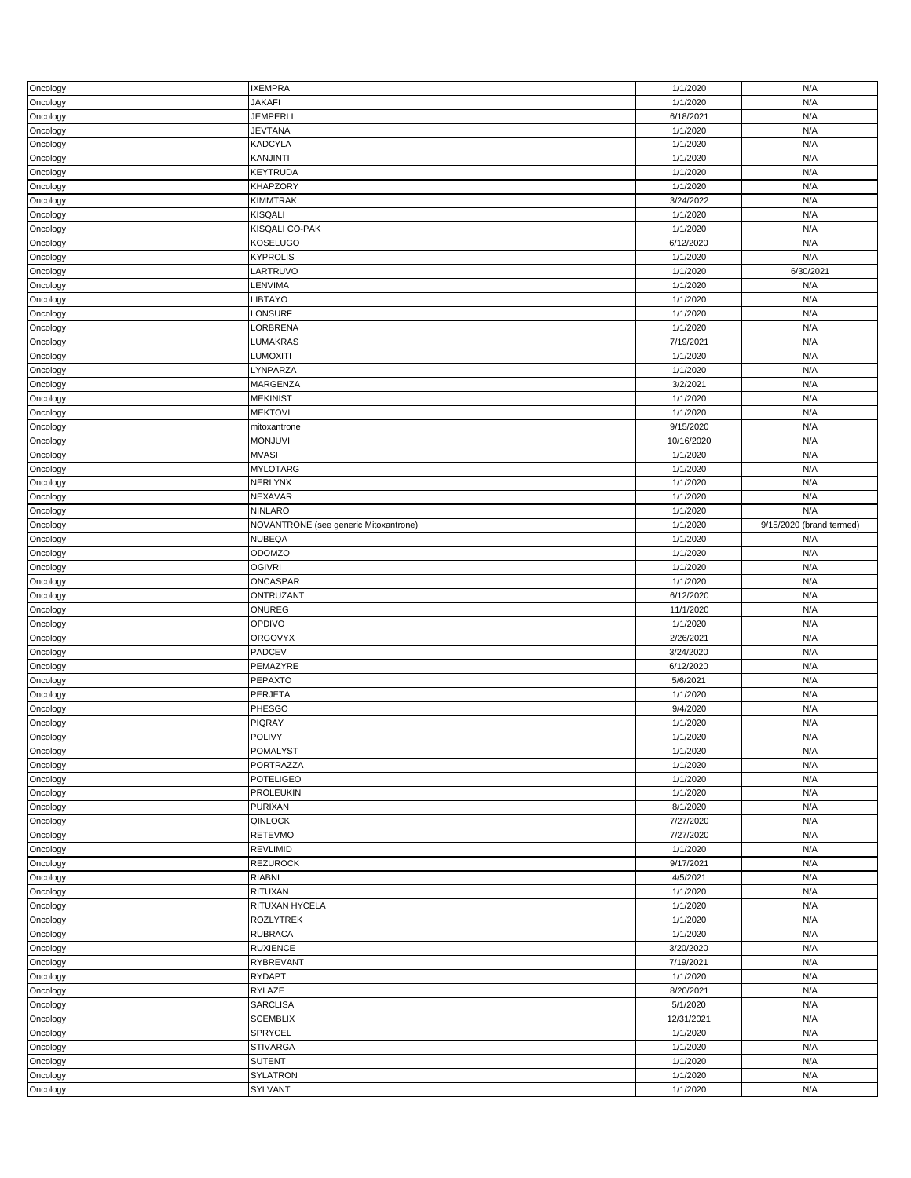| Oncology             | <b>IXEMPRA</b>                        | 1/1/2020             | N/A                      |
|----------------------|---------------------------------------|----------------------|--------------------------|
| Oncology             | <b>JAKAFI</b>                         | 1/1/2020             | N/A                      |
| Oncology             | <b>JEMPERLI</b>                       | 6/18/2021            | N/A                      |
|                      |                                       |                      |                          |
| Oncology             | <b>JEVTANA</b>                        | 1/1/2020             | N/A                      |
| Oncology             | <b>KADCYLA</b>                        | 1/1/2020             | N/A                      |
| Oncology             | <b>KANJINTI</b>                       | 1/1/2020             | N/A                      |
|                      |                                       |                      |                          |
| Oncology             | <b>KEYTRUDA</b>                       | 1/1/2020             | N/A                      |
| Oncology             | <b>KHAPZORY</b>                       | 1/1/2020             | N/A                      |
|                      |                                       | 3/24/2022            | N/A                      |
| Oncology             | <b>KIMMTRAK</b>                       |                      |                          |
| Oncology             | <b>KISQALI</b>                        | 1/1/2020             | N/A                      |
| Oncology             | KISQALI CO-PAK                        | 1/1/2020             | N/A                      |
|                      |                                       |                      |                          |
| Oncology             | <b>KOSELUGO</b>                       | 6/12/2020            | N/A                      |
| Oncology             | <b>KYPROLIS</b>                       | 1/1/2020             | N/A                      |
|                      | LARTRUVO                              | 1/1/2020             | 6/30/2021                |
| Oncology             |                                       |                      |                          |
| Oncology             | LENVIMA                               | 1/1/2020             | N/A                      |
| Oncology             | LIBTAYO                               | 1/1/2020             | N/A                      |
|                      |                                       |                      |                          |
| Oncology             | LONSURF                               | 1/1/2020             | N/A                      |
| Oncology             | LORBRENA                              | 1/1/2020             | N/A                      |
| Oncology             | LUMAKRAS                              | 7/19/2021            | N/A                      |
|                      |                                       |                      |                          |
| Oncology             | <b>LUMOXITI</b>                       | 1/1/2020             | N/A                      |
| Oncology             | LYNPARZA                              | 1/1/2020             | N/A                      |
|                      |                                       |                      |                          |
| Oncology             | <b>MARGENZA</b>                       | 3/2/2021             | N/A                      |
| Oncology             | <b>MEKINIST</b>                       | 1/1/2020             | N/A                      |
|                      | <b>MEKTOVI</b>                        | 1/1/2020             | N/A                      |
| Oncology             |                                       |                      |                          |
| Oncology             | mitoxantrone                          | 9/15/2020            | N/A                      |
| Oncology             | <b>MONJUVI</b>                        | 10/16/2020           | N/A                      |
|                      |                                       |                      |                          |
| Oncology             | <b>MVASI</b>                          | 1/1/2020             | N/A                      |
| Oncology             | <b>MYLOTARG</b>                       | 1/1/2020             | N/A                      |
|                      |                                       |                      |                          |
| Oncology             | <b>NERLYNX</b>                        | 1/1/2020             | N/A                      |
| Oncology             | <b>NEXAVAR</b>                        | 1/1/2020             | N/A                      |
| Oncology             | <b>NINLARO</b>                        | 1/1/2020             | N/A                      |
|                      |                                       |                      |                          |
| Oncology             | NOVANTRONE (see generic Mitoxantrone) | 1/1/2020             | 9/15/2020 (brand termed) |
| Oncology             | <b>NUBEQA</b>                         | 1/1/2020             | N/A                      |
|                      |                                       |                      |                          |
| Oncology             | ODOMZO                                | 1/1/2020             | N/A                      |
| Oncology             | <b>OGIVRI</b>                         | 1/1/2020             | N/A                      |
| Oncology             | <b>ONCASPAR</b>                       | 1/1/2020             | N/A                      |
|                      |                                       |                      |                          |
|                      |                                       |                      |                          |
| Oncology             | ONTRUZANT                             | 6/12/2020            | N/A                      |
|                      |                                       |                      |                          |
| Oncology             | ONUREG                                | 11/1/2020            | N/A                      |
| Oncology             | OPDIVO                                | 1/1/2020             | N/A                      |
|                      |                                       |                      |                          |
| Oncology             | <b>ORGOVYX</b>                        | 2/26/2021            | N/A                      |
| Oncology             | PADCEV                                | 3/24/2020            | N/A                      |
| Oncology             | PEMAZYRE                              | 6/12/2020            | N/A                      |
|                      |                                       |                      |                          |
| Oncology             | <b>PEPAXTO</b>                        | 5/6/2021             | N/A                      |
| Oncology             | <b>PERJETA</b>                        | 1/1/2020             | N/A                      |
|                      | <b>PHESGO</b>                         | 9/4/2020             | N/A                      |
| Oncology             |                                       |                      |                          |
| Oncology             | <b>PIQRAY</b>                         | 1/1/2020             | N/A                      |
| Oncology             | <b>POLIVY</b>                         | 1/1/2020             | N/A                      |
|                      |                                       |                      |                          |
| Oncology             | <b>POMALYST</b>                       | 1/1/2020             | N/A                      |
| Oncology             | PORTRAZZA                             | 1/1/2020             | N/A                      |
|                      | <b>POTELIGEO</b>                      | 1/1/2020             | N/A                      |
| Oncology             |                                       |                      |                          |
| Oncology             | <b>PROLEUKIN</b>                      | 1/1/2020             | N/A                      |
| Oncology             | <b>PURIXAN</b>                        | 8/1/2020             | N/A                      |
|                      | QINLOCK                               |                      | N/A                      |
| Oncology             |                                       | 7/27/2020            |                          |
| Oncology             | <b>RETEVMO</b>                        | 7/27/2020            | N/A                      |
|                      | <b>REVLIMID</b>                       | 1/1/2020             | N/A                      |
| Oncology             |                                       |                      |                          |
| Oncology             | <b>REZUROCK</b>                       | 9/17/2021            | N/A                      |
| Oncology             | <b>RIABNI</b>                         | 4/5/2021             | N/A                      |
|                      | RITUXAN                               |                      | N/A                      |
| Oncology             |                                       | 1/1/2020             |                          |
| Oncology             | RITUXAN HYCELA                        | 1/1/2020             | N/A                      |
| Oncology             | <b>ROZLYTREK</b>                      | 1/1/2020             | N/A                      |
|                      |                                       |                      |                          |
| Oncology             | <b>RUBRACA</b>                        | 1/1/2020             | N/A                      |
| Oncology             | <b>RUXIENCE</b>                       | 3/20/2020            | N/A                      |
| Oncology             | <b>RYBREVANT</b>                      | 7/19/2021            | N/A                      |
|                      |                                       |                      |                          |
| Oncology             | <b>RYDAPT</b>                         | 1/1/2020             | N/A                      |
| Oncology             | <b>RYLAZE</b>                         | 8/20/2021            | N/A                      |
|                      |                                       |                      |                          |
| Oncology             | <b>SARCLISA</b>                       | 5/1/2020             | N/A                      |
| Oncology             | <b>SCEMBLIX</b>                       | 12/31/2021           | N/A                      |
|                      | SPRYCEL                               | 1/1/2020             | N/A                      |
| Oncology             |                                       |                      |                          |
| Oncology             | <b>STIVARGA</b>                       | 1/1/2020             | N/A                      |
| Oncology             | <b>SUTENT</b>                         | 1/1/2020             | N/A                      |
|                      |                                       |                      |                          |
| Oncology<br>Oncology | <b>SYLATRON</b><br>SYLVANT            | 1/1/2020<br>1/1/2020 | N/A<br>N/A               |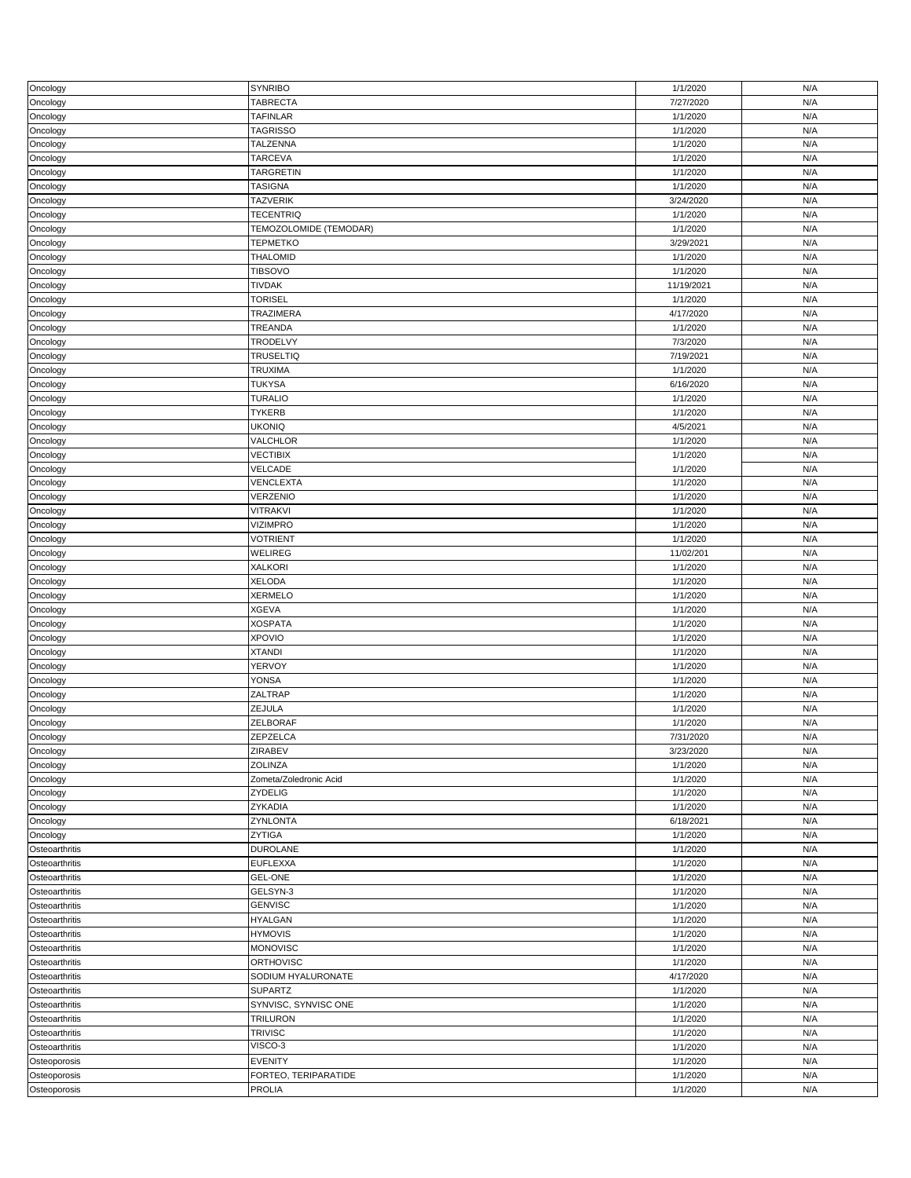|                | <b>SYNRIBO</b>         |            |     |
|----------------|------------------------|------------|-----|
| Oncology       |                        | 1/1/2020   | N/A |
| Oncology       | <b>TABRECTA</b>        | 7/27/2020  | N/A |
| Oncology       | <b>TAFINLAR</b>        | 1/1/2020   | N/A |
|                |                        |            |     |
| Oncology       | <b>TAGRISSO</b>        | 1/1/2020   | N/A |
| Oncology       | TALZENNA               | 1/1/2020   | N/A |
|                | <b>TARCEVA</b>         | 1/1/2020   | N/A |
| Oncology       |                        |            |     |
| Oncology       | TARGRETIN              | 1/1/2020   | N/A |
| Oncology       | <b>TASIGNA</b>         | 1/1/2020   | N/A |
|                |                        |            |     |
| Oncology       | <b>TAZVERIK</b>        | 3/24/2020  | N/A |
| Oncology       | <b>TECENTRIQ</b>       | 1/1/2020   | N/A |
| Oncology       | TEMOZOLOMIDE (TEMODAR) | 1/1/2020   | N/A |
|                |                        |            |     |
| Oncology       | <b>TEPMETKO</b>        | 3/29/2021  | N/A |
| Oncology       | <b>THALOMID</b>        | 1/1/2020   | N/A |
|                |                        |            |     |
| Oncology       | <b>TIBSOVO</b>         | 1/1/2020   | N/A |
| Oncology       | <b>TIVDAK</b>          | 11/19/2021 | N/A |
|                |                        |            | N/A |
| Oncology       | <b>TORISEL</b>         | 1/1/2020   |     |
| Oncology       | TRAZIMERA              | 4/17/2020  | N/A |
| Oncology       | TREANDA                | 1/1/2020   | N/A |
|                |                        |            |     |
| Oncology       | TRODELVY               | 7/3/2020   | N/A |
| Oncology       | <b>TRUSELTIQ</b>       | 7/19/2021  | N/A |
|                | <b>TRUXIMA</b>         | 1/1/2020   | N/A |
| Oncology       |                        |            |     |
| Oncology       | <b>TUKYSA</b>          | 6/16/2020  | N/A |
| Oncology       | <b>TURALIO</b>         | 1/1/2020   | N/A |
|                |                        |            |     |
| Oncology       | <b>TYKERB</b>          | 1/1/2020   | N/A |
| Oncology       | <b>UKONIQ</b>          | 4/5/2021   | N/A |
|                |                        |            |     |
| Oncology       | VALCHLOR               | 1/1/2020   | N/A |
| Oncology       | <b>VECTIBIX</b>        | 1/1/2020   | N/A |
| Oncology       | VELCADE                | 1/1/2020   | N/A |
|                |                        |            |     |
| Oncology       | VENCLEXTA              | 1/1/2020   | N/A |
| Oncology       | VERZENIO               | 1/1/2020   | N/A |
|                |                        |            |     |
| Oncology       | <b>VITRAKVI</b>        | 1/1/2020   | N/A |
| Oncology       | <b>VIZIMPRO</b>        | 1/1/2020   | N/A |
|                | <b>VOTRIENT</b>        | 1/1/2020   | N/A |
| Oncology       |                        |            |     |
| Oncology       | WELIREG                | 11/02/201  | N/A |
| Oncology       | <b>XALKORI</b>         | 1/1/2020   | N/A |
|                |                        |            |     |
| Oncology       | <b>XELODA</b>          | 1/1/2020   | N/A |
|                |                        |            |     |
|                |                        |            |     |
| Oncology       | <b>XERMELO</b>         | 1/1/2020   | N/A |
| Oncology       | <b>XGEVA</b>           | 1/1/2020   | N/A |
| Oncology       | <b>XOSPATA</b>         | 1/1/2020   | N/A |
|                |                        |            |     |
| Oncology       | <b>XPOVIO</b>          | 1/1/2020   | N/A |
| Oncology       | <b>XTANDI</b>          | 1/1/2020   | N/A |
|                |                        |            |     |
| Oncology       | YERVOY                 | 1/1/2020   | N/A |
| Oncology       | <b>YONSA</b>           | 1/1/2020   | N/A |
|                | ZALTRAP                | 1/1/2020   | N/A |
| Oncology       |                        |            |     |
| Oncology       | ZEJULA                 | 1/1/2020   | N/A |
| Oncology       | ZELBORAF               | 1/1/2020   | N/A |
|                |                        |            |     |
| Oncology       | ZEPZELCA               | 7/31/2020  | N/A |
| Oncology       | ZIRABEV                | 3/23/2020  | N/A |
| Oncology       | <b>ZOLINZA</b>         | 1/1/2020   | N/A |
|                |                        |            |     |
| Oncology       | Zometa/Zoledronic Acid | 1/1/2020   | N/A |
| Oncology       | ZYDELIG                | 1/1/2020   | N/A |
|                |                        |            | N/A |
| Oncology       | ZYKADIA                | 1/1/2020   |     |
| Oncology       | ZYNLONTA               | 6/18/2021  | N/A |
| Oncology       | ZYTIGA                 | 1/1/2020   | N/A |
|                |                        |            |     |
| Osteoarthritis | <b>DUROLANE</b>        | 1/1/2020   | N/A |
| Osteoarthritis | <b>EUFLEXXA</b>        | 1/1/2020   | N/A |
|                |                        |            |     |
| Osteoarthritis | <b>GEL-ONE</b>         | 1/1/2020   | N/A |
| Osteoarthritis | GELSYN-3               | 1/1/2020   | N/A |
| Osteoarthritis | <b>GENVISC</b>         | 1/1/2020   | N/A |
|                |                        |            |     |
| Osteoarthritis | <b>HYALGAN</b>         | 1/1/2020   | N/A |
| Osteoarthritis | <b>HYMOVIS</b>         | 1/1/2020   | N/A |
|                |                        |            |     |
| Osteoarthritis | <b>MONOVISC</b>        | 1/1/2020   | N/A |
| Osteoarthritis | <b>ORTHOVISC</b>       | 1/1/2020   | N/A |
|                |                        |            |     |
| Osteoarthritis | SODIUM HYALURONATE     | 4/17/2020  | N/A |
| Osteoarthritis | <b>SUPARTZ</b>         | 1/1/2020   | N/A |
| Osteoarthritis | SYNVISC, SYNVISC ONE   | 1/1/2020   | N/A |
|                |                        |            |     |
| Osteoarthritis | <b>TRILURON</b>        | 1/1/2020   | N/A |
| Osteoarthritis | <b>TRIVISC</b>         | 1/1/2020   | N/A |
|                |                        |            |     |
| Osteoarthritis | VISCO-3                | 1/1/2020   | N/A |
| Osteoporosis   | <b>EVENITY</b>         | 1/1/2020   | N/A |
| Osteoporosis   | FORTEO, TERIPARATIDE   | 1/1/2020   | N/A |
| Osteoporosis   | <b>PROLIA</b>          | 1/1/2020   | N/A |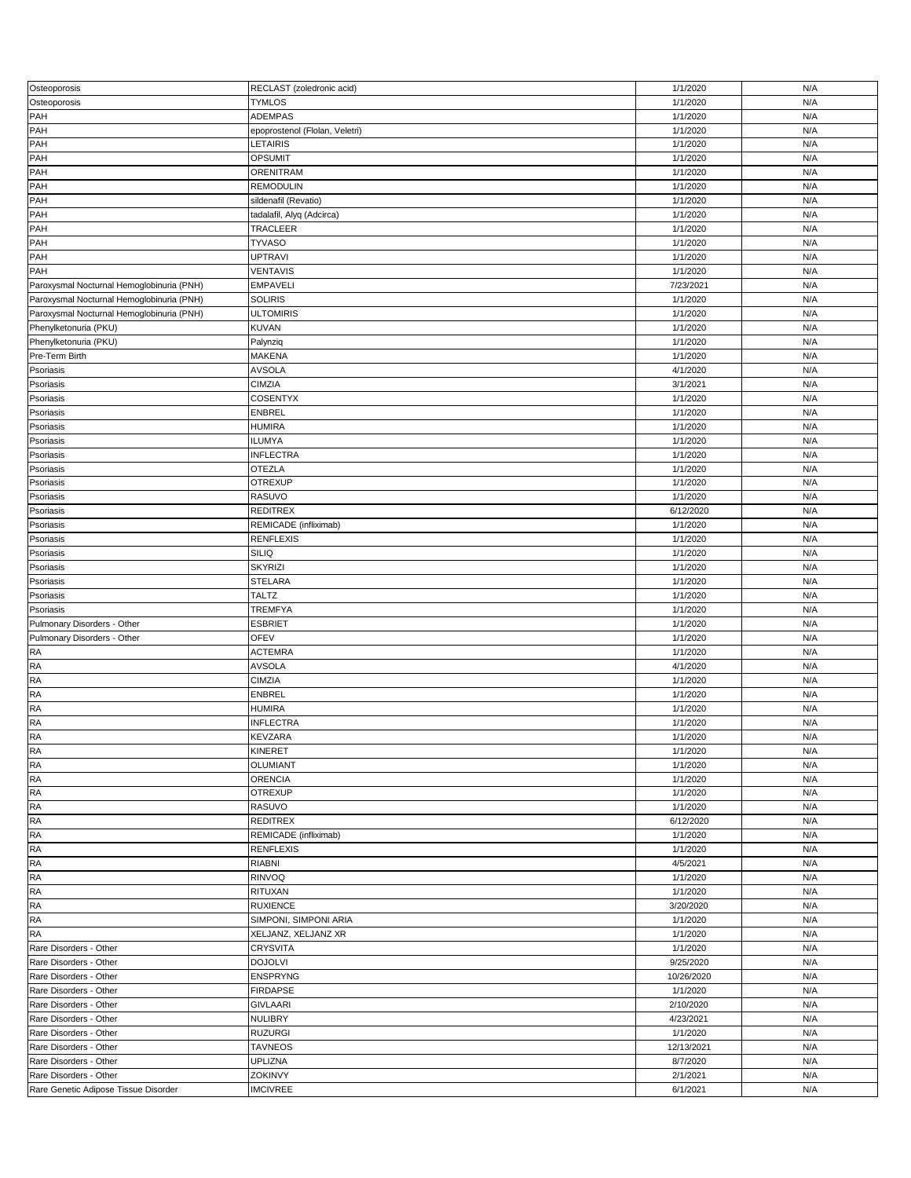| Osteoporosis                              | RECLAST (zoledronic acid)      | 1/1/2020   | N/A |
|-------------------------------------------|--------------------------------|------------|-----|
| Osteoporosis                              | <b>TYMLOS</b>                  | 1/1/2020   | N/A |
|                                           |                                |            |     |
| PAH                                       | ADEMPAS                        | 1/1/2020   | N/A |
| PAH                                       | epoprostenol (Flolan, Veletri) | 1/1/2020   | N/A |
|                                           |                                |            |     |
| PAH                                       | LETAIRIS                       | 1/1/2020   | N/A |
| PAH                                       | <b>OPSUMIT</b>                 | 1/1/2020   | N/A |
|                                           |                                |            |     |
| PAH                                       | ORENITRAM                      | 1/1/2020   | N/A |
| PAH                                       | <b>REMODULIN</b>               | 1/1/2020   | N/A |
|                                           |                                |            |     |
| PAH                                       | sildenafil (Revatio)           | 1/1/2020   | N/A |
| PAH                                       |                                | 1/1/2020   | N/A |
|                                           | tadalafil, Alyq (Adcirca)      |            |     |
| PAH                                       | TRACLEER                       | 1/1/2020   | N/A |
|                                           |                                |            |     |
| PAH                                       | <b>TYVASO</b>                  | 1/1/2020   | N/A |
| PAH                                       | <b>UPTRAVI</b>                 | 1/1/2020   | N/A |
|                                           |                                |            |     |
| PAH                                       | <b>VENTAVIS</b>                | 1/1/2020   | N/A |
| Paroxysmal Nocturnal Hemoglobinuria (PNH) | <b>EMPAVELI</b>                | 7/23/2021  | N/A |
|                                           |                                |            |     |
| Paroxysmal Nocturnal Hemoglobinuria (PNH) | <b>SOLIRIS</b>                 | 1/1/2020   | N/A |
| Paroxysmal Nocturnal Hemoglobinuria (PNH) | <b>ULTOMIRIS</b>               | 1/1/2020   | N/A |
|                                           |                                |            |     |
| Phenylketonuria (PKU)                     | <b>KUVAN</b>                   | 1/1/2020   | N/A |
| Phenylketonuria (PKU)                     | Palynziq                       | 1/1/2020   | N/A |
|                                           |                                |            |     |
| Pre-Term Birth                            | MAKENA                         | 1/1/2020   | N/A |
| Psoriasis                                 | <b>AVSOLA</b>                  | 4/1/2020   | N/A |
|                                           |                                |            |     |
| Psoriasis                                 | <b>CIMZIA</b>                  | 3/1/2021   | N/A |
|                                           |                                |            |     |
| Psoriasis                                 | <b>COSENTYX</b>                | 1/1/2020   | N/A |
| Psoriasis                                 | <b>ENBREL</b>                  | 1/1/2020   | N/A |
|                                           |                                |            |     |
| Psoriasis                                 | <b>HUMIRA</b>                  | 1/1/2020   | N/A |
| Psoriasis                                 | <b>ILUMYA</b>                  | 1/1/2020   | N/A |
|                                           |                                |            |     |
| Psoriasis                                 | <b>INFLECTRA</b>               | 1/1/2020   | N/A |
| Psoriasis                                 | <b>OTEZLA</b>                  | 1/1/2020   | N/A |
|                                           |                                |            |     |
| Psoriasis                                 | <b>OTREXUP</b>                 | 1/1/2020   | N/A |
|                                           |                                |            |     |
| Psoriasis                                 | RASUVO                         | 1/1/2020   | N/A |
| Psoriasis                                 | <b>REDITREX</b>                | 6/12/2020  | N/A |
|                                           |                                |            |     |
| Psoriasis                                 | REMICADE (infliximab)          | 1/1/2020   | N/A |
| Psoriasis                                 | <b>RENFLEXIS</b>               | 1/1/2020   | N/A |
|                                           |                                |            |     |
| Psoriasis                                 | <b>SILIQ</b>                   | 1/1/2020   | N/A |
| Psoriasis                                 | <b>SKYRIZI</b>                 | 1/1/2020   | N/A |
|                                           |                                |            |     |
| Psoriasis                                 | <b>STELARA</b>                 | 1/1/2020   | N/A |
|                                           |                                |            |     |
|                                           |                                |            |     |
| Psoriasis                                 | <b>TALTZ</b>                   | 1/1/2020   | N/A |
|                                           |                                |            |     |
| Psoriasis                                 | <b>TREMFYA</b>                 | 1/1/2020   | N/A |
| Pulmonary Disorders - Other               | <b>ESBRIET</b>                 | 1/1/2020   | N/A |
|                                           |                                |            |     |
| Pulmonary Disorders - Other               | <b>OFEV</b>                    | 1/1/2020   | N/A |
| <b>RA</b>                                 | <b>ACTEMRA</b>                 | 1/1/2020   | N/A |
|                                           |                                |            |     |
| <b>RA</b>                                 | <b>AVSOLA</b>                  | 4/1/2020   | N/A |
| <b>RA</b>                                 | <b>CIMZIA</b>                  | 1/1/2020   | N/A |
|                                           |                                |            |     |
| <b>RA</b>                                 | ENBREL                         | 1/1/2020   | N/A |
| <b>RA</b>                                 | <b>HUMIRA</b>                  | 1/1/2020   | N/A |
|                                           |                                |            |     |
| <b>RA</b>                                 | <b>INFLECTRA</b>               | 1/1/2020   | N/A |
| <b>RA</b>                                 | KEVZARA                        | 1/1/2020   | N/A |
|                                           |                                |            |     |
| <b>RA</b>                                 | KINERET                        | 1/1/2020   | N/A |
| <b>RA</b>                                 |                                |            | N/A |
|                                           | <b>OLUMIANT</b>                | 1/1/2020   |     |
| <b>RA</b>                                 | <b>ORENCIA</b>                 | 1/1/2020   | N/A |
|                                           |                                |            |     |
| RA                                        | <b>OTREXUP</b>                 | 1/1/2020   | N/A |
| <b>RA</b>                                 | RASUVO                         | 1/1/2020   | N/A |
|                                           |                                |            |     |
| RA                                        | <b>REDITREX</b>                | 6/12/2020  | N/A |
| <b>RA</b>                                 | REMICADE (infliximab)          | 1/1/2020   | N/A |
|                                           |                                |            |     |
| <b>RA</b>                                 | <b>RENFLEXIS</b>               | 1/1/2020   | N/A |
| <b>RA</b>                                 | <b>RIABNI</b>                  | 4/5/2021   | N/A |
|                                           |                                |            |     |
| <b>RA</b>                                 | RINVOQ                         | 1/1/2020   | N/A |
| <b>RA</b>                                 | RITUXAN                        | 1/1/2020   | N/A |
|                                           |                                |            |     |
| <b>RA</b>                                 | <b>RUXIENCE</b>                | 3/20/2020  | N/A |
| RA                                        | SIMPONI, SIMPONI ARIA          | 1/1/2020   | N/A |
|                                           |                                |            |     |
| RA                                        | XELJANZ, XELJANZ XR            | 1/1/2020   | N/A |
| Rare Disorders - Other                    | <b>CRYSVITA</b>                |            | N/A |
|                                           |                                | 1/1/2020   |     |
| Rare Disorders - Other                    | <b>DOJOLVI</b>                 | 9/25/2020  | N/A |
|                                           |                                |            |     |
| Rare Disorders - Other                    | <b>ENSPRYNG</b>                | 10/26/2020 | N/A |
| Rare Disorders - Other                    | <b>FIRDAPSE</b>                | 1/1/2020   | N/A |
|                                           |                                |            |     |
| Rare Disorders - Other                    | <b>GIVLAARI</b>                | 2/10/2020  | N/A |
| Rare Disorders - Other                    | <b>NULIBRY</b>                 | 4/23/2021  | N/A |
|                                           |                                |            |     |
| Rare Disorders - Other                    | <b>RUZURGI</b>                 | 1/1/2020   | N/A |
| Rare Disorders - Other                    | <b>TAVNEOS</b>                 | 12/13/2021 | N/A |
|                                           |                                |            |     |
| Rare Disorders - Other                    | <b>UPLIZNA</b>                 | 8/7/2020   | N/A |
| Rare Disorders - Other                    | ZOKINVY                        | 2/1/2021   | N/A |
| Rare Genetic Adipose Tissue Disorder      | <b>IMCIVREE</b>                | 6/1/2021   | N/A |